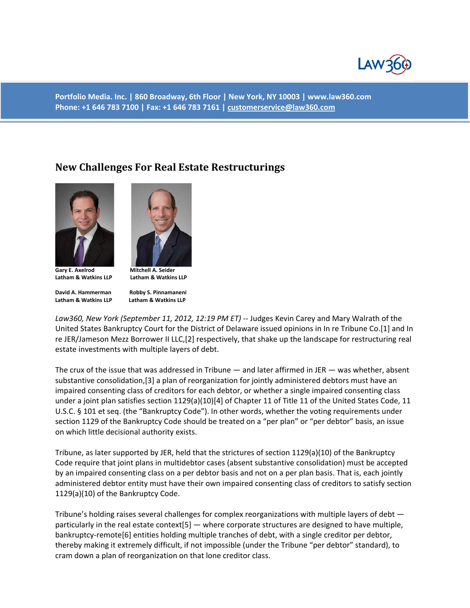

**Portfolio Media. Inc. | 860 Broadway, 6th Floor | New York, NY 10003 | www.law360.com Phone: +1 646 783 7100 | Fax: +1 646 783 7161 [| customerservice@law360.com](mailto:customerservice@law360.com)**

## **New Challenges For Real Estate Restructurings**



**Gary E. Axelrod Mitchell A. Seider Latham & Watkins LLP Latham & Watkins LLP**

**David A. Hammerman Robby S. Pinnamaneni Latham & Watkins LLP Latham & Watkins LLP** 



*Law360, New York (September 11, 2012, 12:19 PM ET)* -- Judges Kevin Carey and Mary Walrath of the United States Bankruptcy Court for the District of Delaware issued opinions in In re Tribune Co.[1] and In re JER/Jameson Mezz Borrower II LLC,[2] respectively, that shake up the landscape for restructuring real estate investments with multiple layers of debt.

The crux of the issue that was addressed in Tribune — and later affirmed in JER — was whether, absent substantive consolidation,[3] a plan of reorganization for jointly administered debtors must have an impaired consenting class of creditors for each debtor, or whether a single impaired consenting class under a joint plan satisfies section 1129(a)(10)[4] of Chapter 11 of Title 11 of the United States Code, 11 U.S.C. § 101 et seq. (the "Bankruptcy Code"). In other words, whether the voting requirements under section 1129 of the Bankruptcy Code should be treated on a "per plan" or "per debtor" basis, an issue on which little decisional authority exists.

Tribune, as later supported by JER, held that the strictures of section 1129(a)(10) of the Bankruptcy Code require that joint plans in multidebtor cases (absent substantive consolidation) must be accepted by an impaired consenting class on a per debtor basis and not on a per plan basis. That is, each jointly administered debtor entity must have their own impaired consenting class of creditors to satisfy section 1129(a)(10) of the Bankruptcy Code.

Tribune's holding raises several challenges for complex reorganizations with multiple layers of debt particularly in the real estate context[5] — where corporate structures are designed to have multiple, bankruptcy-remote[6] entities holding multiple tranches of debt, with a single creditor per debtor, thereby making it extremely difficult, if not impossible (under the Tribune "per debtor" standard), to cram down a plan of reorganization on that lone creditor class.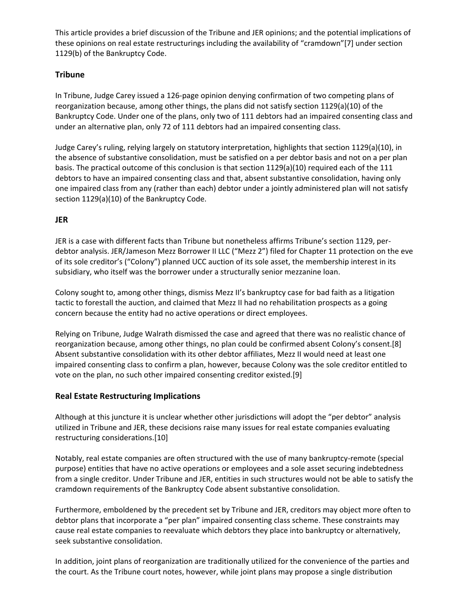This article provides a brief discussion of the Tribune and JER opinions; and the potential implications of these opinions on real estate restructurings including the availability of "cramdown"[7] under section 1129(b) of the Bankruptcy Code.

## **Tribune**

In Tribune, Judge Carey issued a 126-page opinion denying confirmation of two competing plans of reorganization because, among other things, the plans did not satisfy section 1129(a)(10) of the Bankruptcy Code. Under one of the plans, only two of 111 debtors had an impaired consenting class and under an alternative plan, only 72 of 111 debtors had an impaired consenting class.

Judge Carey's ruling, relying largely on statutory interpretation, highlights that section 1129(a)(10), in the absence of substantive consolidation, must be satisfied on a per debtor basis and not on a per plan basis. The practical outcome of this conclusion is that section 1129(a)(10) required each of the 111 debtors to have an impaired consenting class and that, absent substantive consolidation, having only one impaired class from any (rather than each) debtor under a jointly administered plan will not satisfy section 1129(a)(10) of the Bankruptcy Code.

## **JER**

JER is a case with different facts than Tribune but nonetheless affirms Tribune's section 1129, perdebtor analysis. JER/Jameson Mezz Borrower II LLC ("Mezz 2") filed for Chapter 11 protection on the eve of its sole creditor's ("Colony") planned UCC auction of its sole asset, the membership interest in its subsidiary, who itself was the borrower under a structurally senior mezzanine loan.

Colony sought to, among other things, dismiss Mezz II's bankruptcy case for bad faith as a litigation tactic to forestall the auction, and claimed that Mezz II had no rehabilitation prospects as a going concern because the entity had no active operations or direct employees.

Relying on Tribune, Judge Walrath dismissed the case and agreed that there was no realistic chance of reorganization because, among other things, no plan could be confirmed absent Colony's consent.[8] Absent substantive consolidation with its other debtor affiliates, Mezz II would need at least one impaired consenting class to confirm a plan, however, because Colony was the sole creditor entitled to vote on the plan, no such other impaired consenting creditor existed.[9]

## **Real Estate Restructuring Implications**

Although at this juncture it is unclear whether other jurisdictions will adopt the "per debtor" analysis utilized in Tribune and JER, these decisions raise many issues for real estate companies evaluating restructuring considerations.[10]

Notably, real estate companies are often structured with the use of many bankruptcy-remote (special purpose) entities that have no active operations or employees and a sole asset securing indebtedness from a single creditor. Under Tribune and JER, entities in such structures would not be able to satisfy the cramdown requirements of the Bankruptcy Code absent substantive consolidation.

Furthermore, emboldened by the precedent set by Tribune and JER, creditors may object more often to debtor plans that incorporate a "per plan" impaired consenting class scheme. These constraints may cause real estate companies to reevaluate which debtors they place into bankruptcy or alternatively, seek substantive consolidation.

In addition, joint plans of reorganization are traditionally utilized for the convenience of the parties and the court. As the Tribune court notes, however, while joint plans may propose a single distribution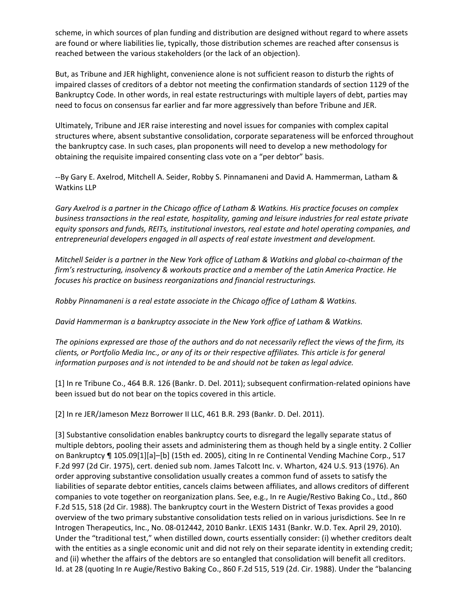scheme, in which sources of plan funding and distribution are designed without regard to where assets are found or where liabilities lie, typically, those distribution schemes are reached after consensus is reached between the various stakeholders (or the lack of an objection).

But, as Tribune and JER highlight, convenience alone is not sufficient reason to disturb the rights of impaired classes of creditors of a debtor not meeting the confirmation standards of section 1129 of the Bankruptcy Code. In other words, in real estate restructurings with multiple layers of debt, parties may need to focus on consensus far earlier and far more aggressively than before Tribune and JER.

Ultimately, Tribune and JER raise interesting and novel issues for companies with complex capital structures where, absent substantive consolidation, corporate separateness will be enforced throughout the bankruptcy case. In such cases, plan proponents will need to develop a new methodology for obtaining the requisite impaired consenting class vote on a "per debtor" basis.

--By Gary E. Axelrod, Mitchell A. Seider, Robby S. Pinnamaneni and David A. Hammerman, Latham & Watkins LLP

*Gary Axelrod is a partner in the Chicago office of Latham & Watkins. His practice focuses on complex business transactions in the real estate, hospitality, gaming and leisure industries for real estate private equity sponsors and funds, REITs, institutional investors, real estate and hotel operating companies, and entrepreneurial developers engaged in all aspects of real estate investment and development.*

*Mitchell Seider is a partner in the New York office of Latham & Watkins and global co-chairman of the firm's restructuring, insolvency & workouts practice and a member of the Latin America Practice. He focuses his practice on business reorganizations and financial restructurings.*

*Robby Pinnamaneni is a real estate associate in the Chicago office of Latham & Watkins.*

*David Hammerman is a bankruptcy associate in the New York office of Latham & Watkins.*

*The opinions expressed are those of the authors and do not necessarily reflect the views of the firm, its clients, or Portfolio Media Inc., or any of its or their respective affiliates. This article is for general information purposes and is not intended to be and should not be taken as legal advice.*

[1] In re Tribune Co., 464 B.R. 126 (Bankr. D. Del. 2011); subsequent confirmation-related opinions have been issued but do not bear on the topics covered in this article.

[2] In re JER/Jameson Mezz Borrower II LLC, 461 B.R. 293 (Bankr. D. Del. 2011).

[3] Substantive consolidation enables bankruptcy courts to disregard the legally separate status of multiple debtors, pooling their assets and administering them as though held by a single entity. 2 Collier on Bankruptcy ¶ 105.09[1][a]–[b] (15th ed. 2005), citing In re Continental Vending Machine Corp., 517 F.2d 997 (2d Cir. 1975), cert. denied sub nom. James Talcott Inc. v. Wharton, 424 U.S. 913 (1976). An order approving substantive consolidation usually creates a common fund of assets to satisfy the liabilities of separate debtor entities, cancels claims between affiliates, and allows creditors of different companies to vote together on reorganization plans. See, e.g., In re Augie/Restivo Baking Co., Ltd., 860 F.2d 515, 518 (2d Cir. 1988). The bankruptcy court in the Western District of Texas provides a good overview of the two primary substantive consolidation tests relied on in various jurisdictions. See In re Introgen Therapeutics, Inc., No. 08-012442, 2010 Bankr. LEXIS 1431 (Bankr. W.D. Tex. April 29, 2010). Under the "traditional test," when distilled down, courts essentially consider: (i) whether creditors dealt with the entities as a single economic unit and did not rely on their separate identity in extending credit; and (ii) whether the affairs of the debtors are so entangled that consolidation will benefit all creditors. Id. at 28 (quoting In re Augie/Restivo Baking Co., 860 F.2d 515, 519 (2d. Cir. 1988). Under the "balancing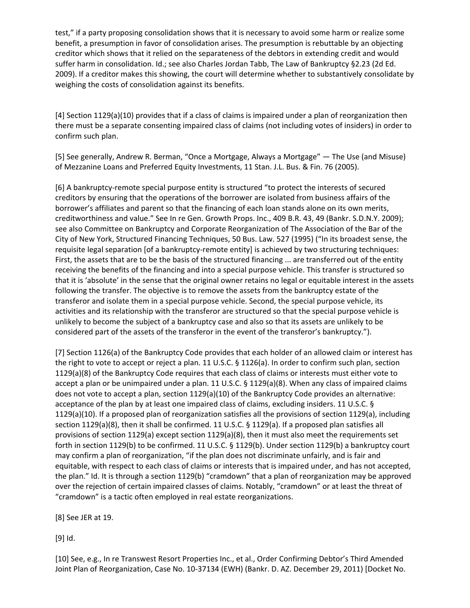test," if a party proposing consolidation shows that it is necessary to avoid some harm or realize some benefit, a presumption in favor of consolidation arises. The presumption is rebuttable by an objecting creditor which shows that it relied on the separateness of the debtors in extending credit and would suffer harm in consolidation. Id.; see also Charles Jordan Tabb, The Law of Bankruptcy §2.23 (2d Ed. 2009). If a creditor makes this showing, the court will determine whether to substantively consolidate by weighing the costs of consolidation against its benefits.

[4] Section 1129(a)(10) provides that if a class of claims is impaired under a plan of reorganization then there must be a separate consenting impaired class of claims (not including votes of insiders) in order to confirm such plan.

[5] See generally, Andrew R. Berman, "Once a Mortgage, Always a Mortgage" — The Use (and Misuse) of Mezzanine Loans and Preferred Equity Investments, 11 Stan. J.L. Bus. & Fin. 76 (2005).

[6] A bankruptcy-remote special purpose entity is structured "to protect the interests of secured creditors by ensuring that the operations of the borrower are isolated from business affairs of the borrower's affiliates and parent so that the financing of each loan stands alone on its own merits, creditworthiness and value." See In re Gen. Growth Props. Inc., 409 B.R. 43, 49 (Bankr. S.D.N.Y. 2009); see also Committee on Bankruptcy and Corporate Reorganization of The Association of the Bar of the City of New York, Structured Financing Techniques, 50 Bus. Law. 527 (1995) ("In its broadest sense, the requisite legal separation [of a bankruptcy-remote entity] is achieved by two structuring techniques: First, the assets that are to be the basis of the structured financing ... are transferred out of the entity receiving the benefits of the financing and into a special purpose vehicle. This transfer is structured so that it is 'absolute' in the sense that the original owner retains no legal or equitable interest in the assets following the transfer. The objective is to remove the assets from the bankruptcy estate of the transferor and isolate them in a special purpose vehicle. Second, the special purpose vehicle, its activities and its relationship with the transferor are structured so that the special purpose vehicle is unlikely to become the subject of a bankruptcy case and also so that its assets are unlikely to be considered part of the assets of the transferor in the event of the transferor's bankruptcy.").

[7] Section 1126(a) of the Bankruptcy Code provides that each holder of an allowed claim or interest has the right to vote to accept or reject a plan. 11 U.S.C. § 1126(a). In order to confirm such plan, section 1129(a)(8) of the Bankruptcy Code requires that each class of claims or interests must either vote to accept a plan or be unimpaired under a plan. 11 U.S.C. § 1129(a)(8). When any class of impaired claims does not vote to accept a plan, section 1129(a)(10) of the Bankruptcy Code provides an alternative: acceptance of the plan by at least one impaired class of claims, excluding insiders. 11 U.S.C. § 1129(a)(10). If a proposed plan of reorganization satisfies all the provisions of section 1129(a), including section 1129(a)(8), then it shall be confirmed. 11 U.S.C. § 1129(a). If a proposed plan satisfies all provisions of section 1129(a) except section 1129(a)(8), then it must also meet the requirements set forth in section 1129(b) to be confirmed. 11 U.S.C. § 1129(b). Under section 1129(b) a bankruptcy court may confirm a plan of reorganization, "if the plan does not discriminate unfairly, and is fair and equitable, with respect to each class of claims or interests that is impaired under, and has not accepted, the plan." Id. It is through a section 1129(b) "cramdown" that a plan of reorganization may be approved over the rejection of certain impaired classes of claims. Notably, "cramdown" or at least the threat of "cramdown" is a tactic often employed in real estate reorganizations.

[8] See JER at 19.

[9] Id.

[10] See, e.g., In re Transwest Resort Properties Inc., et al., Order Confirming Debtor's Third Amended Joint Plan of Reorganization, Case No. 10-37134 (EWH) (Bankr. D. AZ. December 29, 2011) [Docket No.